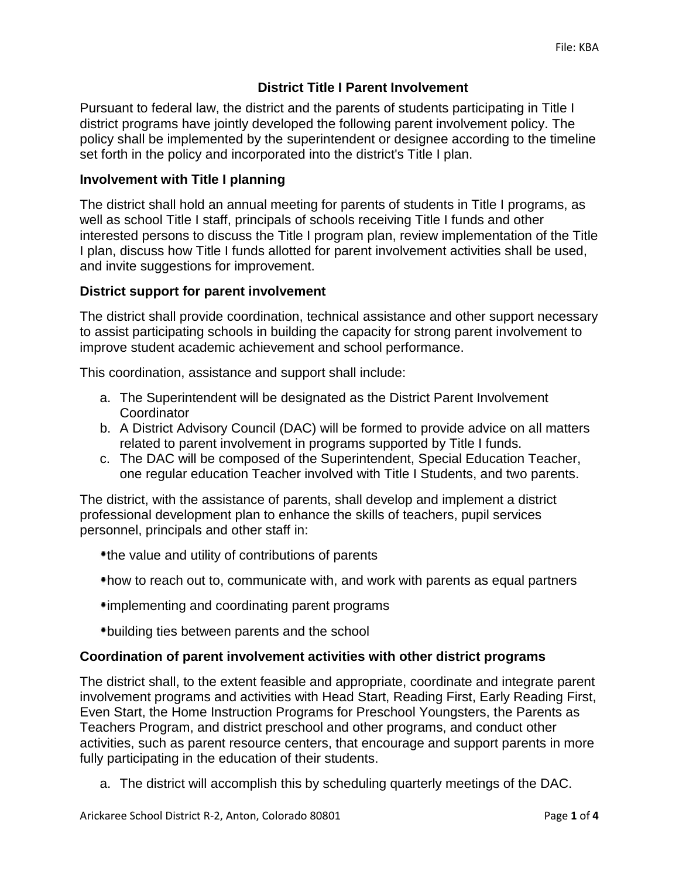# **District Title I Parent Involvement**

Pursuant to federal law, the district and the parents of students participating in Title I district programs have jointly developed the following parent involvement policy. The policy shall be implemented by the superintendent or designee according to the timeline set forth in the policy and incorporated into the district's Title I plan.

## **Involvement with Title I planning**

The district shall hold an annual meeting for parents of students in Title I programs, as well as school Title I staff, principals of schools receiving Title I funds and other interested persons to discuss the Title I program plan, review implementation of the Title I plan, discuss how Title I funds allotted for parent involvement activities shall be used, and invite suggestions for improvement.

## **District support for parent involvement**

The district shall provide coordination, technical assistance and other support necessary to assist participating schools in building the capacity for strong parent involvement to improve student academic achievement and school performance.

This coordination, assistance and support shall include:

- a. The Superintendent will be designated as the District Parent Involvement **Coordinator**
- b. A District Advisory Council (DAC) will be formed to provide advice on all matters related to parent involvement in programs supported by Title I funds.
- c. The DAC will be composed of the Superintendent, Special Education Teacher, one regular education Teacher involved with Title I Students, and two parents.

The district, with the assistance of parents, shall develop and implement a district professional development plan to enhance the skills of teachers, pupil services personnel, principals and other staff in:

- the value and utility of contributions of parents
- how to reach out to, communicate with, and work with parents as equal partners
- implementing and coordinating parent programs
- building ties between parents and the school

### **Coordination of parent involvement activities with other district programs**

The district shall, to the extent feasible and appropriate, coordinate and integrate parent involvement programs and activities with Head Start, Reading First, Early Reading First, Even Start, the Home Instruction Programs for Preschool Youngsters, the Parents as Teachers Program, and district preschool and other programs, and conduct other activities, such as parent resource centers, that encourage and support parents in more fully participating in the education of their students.

a. The district will accomplish this by scheduling quarterly meetings of the DAC.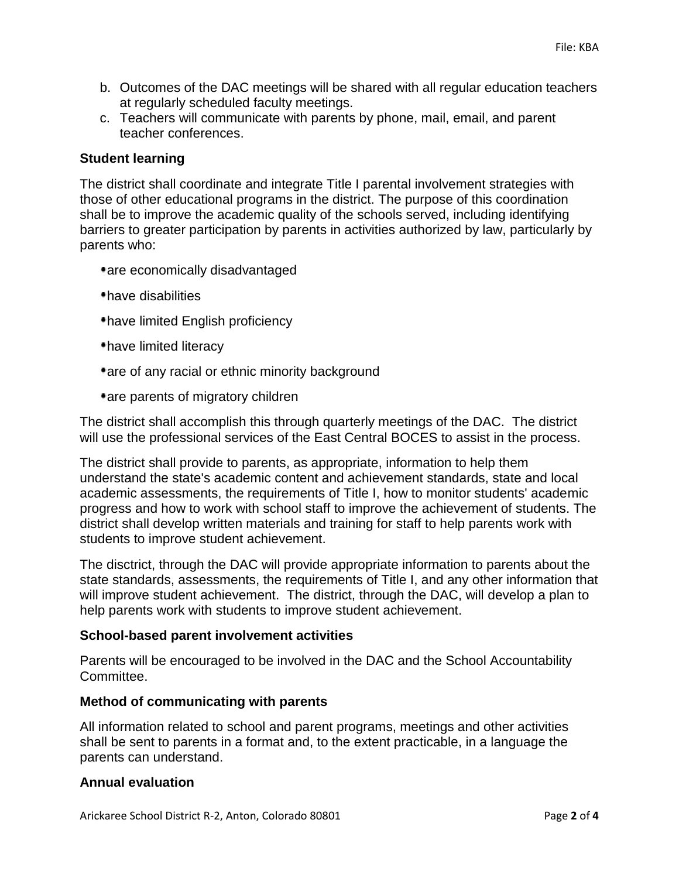- b. Outcomes of the DAC meetings will be shared with all regular education teachers at regularly scheduled faculty meetings.
- c. Teachers will communicate with parents by phone, mail, email, and parent teacher conferences.

### **Student learning**

The district shall coordinate and integrate Title I parental involvement strategies with those of other educational programs in the district. The purpose of this coordination shall be to improve the academic quality of the schools served, including identifying barriers to greater participation by parents in activities authorized by law, particularly by parents who:

- are economically disadvantaged
- have disabilities
- have limited English proficiency
- have limited literacy
- are of any racial or ethnic minority background
- are parents of migratory children

The district shall accomplish this through quarterly meetings of the DAC. The district will use the professional services of the East Central BOCES to assist in the process.

The district shall provide to parents, as appropriate, information to help them understand the state's academic content and achievement standards, state and local academic assessments, the requirements of Title I, how to monitor students' academic progress and how to work with school staff to improve the achievement of students. The district shall develop written materials and training for staff to help parents work with students to improve student achievement.

The disctrict, through the DAC will provide appropriate information to parents about the state standards, assessments, the requirements of Title I, and any other information that will improve student achievement. The district, through the DAC, will develop a plan to help parents work with students to improve student achievement.

### **School-based parent involvement activities**

Parents will be encouraged to be involved in the DAC and the School Accountability Committee.

### **Method of communicating with parents**

All information related to school and parent programs, meetings and other activities shall be sent to parents in a format and, to the extent practicable, in a language the parents can understand.

### **Annual evaluation**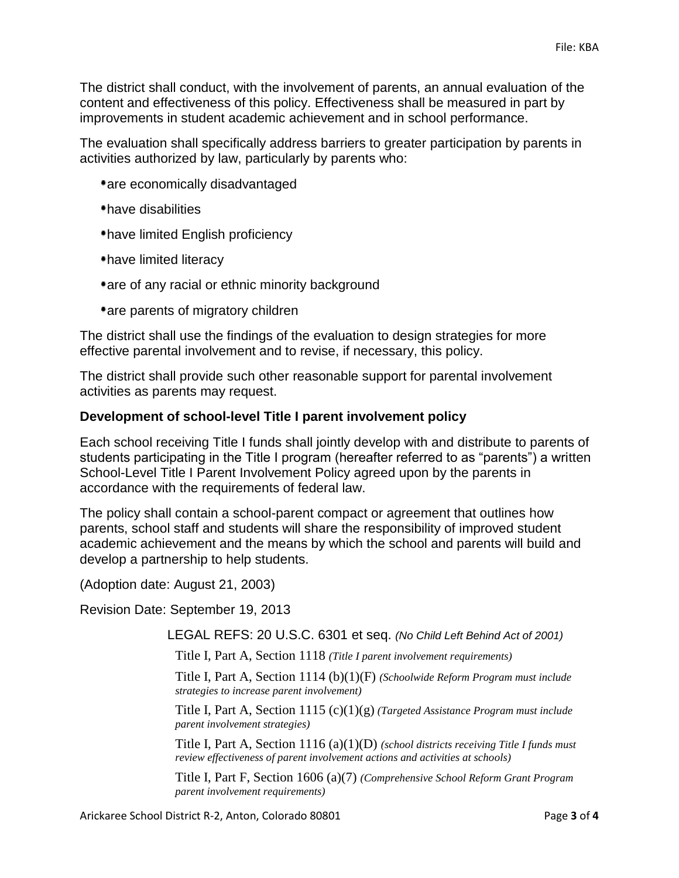The district shall conduct, with the involvement of parents, an annual evaluation of the content and effectiveness of this policy. Effectiveness shall be measured in part by improvements in student academic achievement and in school performance.

The evaluation shall specifically address barriers to greater participation by parents in activities authorized by law, particularly by parents who:

- are economically disadvantaged
- have disabilities
- have limited English proficiency
- have limited literacy
- are of any racial or ethnic minority background
- are parents of migratory children

The district shall use the findings of the evaluation to design strategies for more effective parental involvement and to revise, if necessary, this policy.

The district shall provide such other reasonable support for parental involvement activities as parents may request.

#### **Development of school-level Title I parent involvement policy**

Each school receiving Title I funds shall jointly develop with and distribute to parents of students participating in the Title I program (hereafter referred to as "parents") a written School-Level Title I Parent Involvement Policy agreed upon by the parents in accordance with the requirements of federal law.

The policy shall contain a school-parent compact or agreement that outlines how parents, school staff and students will share the responsibility of improved student academic achievement and the means by which the school and parents will build and develop a partnership to help students.

(Adoption date: August 21, 2003)

Revision Date: September 19, 2013

LEGAL REFS: 20 U.S.C. 6301 et seq. *(No Child Left Behind Act of 2001)*

Title I, Part A, Section 1118 *(Title I parent involvement requirements)*

Title I, Part A, Section 1114 (b)(1)(F) *(Schoolwide Reform Program must include strategies to increase parent involvement)*

Title I, Part A, Section 1115 (c)(1)(g) *(Targeted Assistance Program must include parent involvement strategies)*

Title I, Part A, Section 1116 (a)(1)(D) *(school districts receiving Title I funds must review effectiveness of parent involvement actions and activities at schools)*

Title I, Part F, Section 1606 (a)(7) *(Comprehensive School Reform Grant Program parent involvement requirements)*

Arickaree School District R-2, Anton, Colorado 80801 Page **3** of **4**